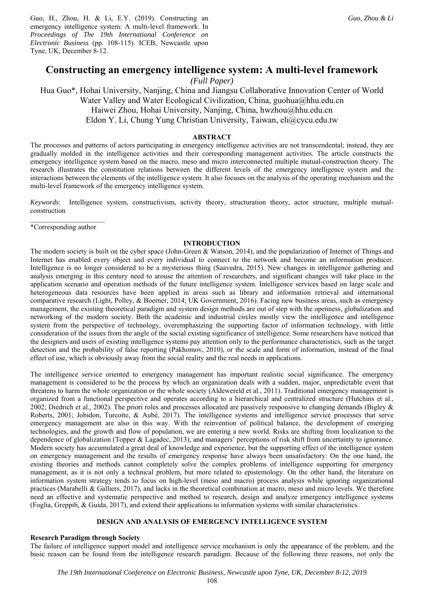Guo, H., Zhou, H. & Li, E.Y. (2019). Constructing an emergency intelligence system: A multi-level framework. In *Proceedings of The 19th International Conference on Electronic Business* (pp. 108-115). ICEB, Newcastle upon Tyne, UK, December 8-12.

# **Constructing an emergency intelligence system: A multi-level framework**

*(Full Paper)* 

Hua Guo\*, Hohai University, Nanjing, China and Jiangsu Collaborative Innovation Center of World Water Valley and Water Ecological Civilization, China, guohua@hhu.edu.cn Haiwei Zhou, Hohai University, Nanjing, China, hwzhou@hhu.edu.cn Eldon Y. Li, Chung Yung Christian University, Taiwan, eli@cycu.edu.tw

# **ABSTRACT**

The processes and patterns of actors participating in emergency intelligence activities are not transcendental; instead, they are gradually molded in the intelligence activities and their corresponding management activities. The article constructs the emergency intelligence system based on the macro, meso and micro interconnected multiple mutual-construction theory. The research illustrates the constitution relations between the different levels of the emergency intelligence system and the interactions between the elements of the intelligence system. It also focuses on the analysis of the operating mechanism and the multi-level framework of the emergency intelligence system.

*Keywords*: Intelligence system, constructivism, activity theory, structuration theory, actor structure, multiple mutualconstruction

\*Corresponding author

#### **INTRODUCTION**

The modern society is built on the cyber space (John-Green & Watson, 2014), and the popularization of Internet of Things and Internet has enabled every object and every individual to connect to the network and become an information producer. Intelligence is no longer considered to be a mysterious thing (Saavedra, 2015). New changes in intelligence gathering and analysis emerging in this century need to arouse the attention of researchers, and significant changes will take place in the application scenario and operation methods of the future intelligence system. Intelligence services based on large scale and heterogeneous data resources have been applied in areas such as library and information retrieval and international comparative research (Light, Polley, & Boerner, 2014; UK Government, 2016). Facing new business areas, such as emergency management, the existing theoretical paradigm and system design methods are out of step with the openness, globalization and networking of the modern society. Both the academic and industrial circles mostly view the intelligence and intelligence system from the perspective of technology, overemphasizing the supporting factor of information technology, with little consideration of the issues from the angle of the social existing significance of intelligence. Some researchers have noticed that the designers and users of existing intelligence systems pay attention only to the performance characteristics, such as the target detection and the probability of false reporting (Pakhomov, 2010), or the scale and form of information, instead of the final effect of use, which is obviously away from the social reality and the real needs in applications.

The intelligence service oriented to emergency management has important realistic social significance. The emergency management is considered to be the process by which an organization deals with a sudden, major, unpredictable event that threatens to harm the whole organization or the whole society (Aldewereld et al., 2011). Traditional emergency management is organized from a functional perspective and operates according to a hierarchical and centralized structure (Hutchins et al., 2002; Diedrich et al., 2002). The priori roles and processes allocated are passively responsive to changing demands (Bigley  $\&$ Roberts, 2001; Jobidon, Turcotte, & Aubé, 2017). The intelligence systems and intelligence service processes that serve emergency management are also in this way. With the reinvention of political balance, the development of emerging technologies, and the growth and flow of population, we are entering a new world. Risks are shifting from localization to the dependence of globalization (Topper & Lagadec, 2013), and managers' perceptions of risk shift from uncertainty to ignorance. Modern society has accumulated a great deal of knowledge and experience, but the supporting effect of the intelligence system on emergency management and the results of emergency response have always been unsatisfactory: On the one hand, the existing theories and methods cannot completely solve the complex problems of intelligence supporting for emergency management, as it is not only a technical problem, but more related to epistemology. On the other hand, the literature on information system strategy tends to focus on high-level (meso and macro) process analysis while ignoring organizational practices (Marabelli & Galliers, 2017), and lacks in the theoretical combination at macro, meso and micro levels. We therefore need an effective and systematic perspective and method to research, design and analyze emergency intelligence systems (Foglia, Greppib, & Guida, 2017), and extend their applications to information systems with similar characteristics.

## **DESIGN AND ANALYSIS OF EMERGENCY INTELLIGENCE SYSTEM**

### **Research Paradigm through Society**

The failure of intelligence support model and intelligence service mechanism is only the appearance of the problem, and the basic reason can be found from the intelligence research paradigm. Because of the following three reasons, not only the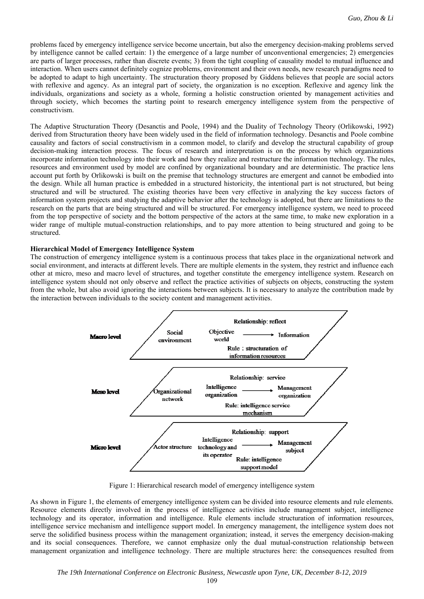problems faced by emergency intelligence service become uncertain, but also the emergency decision-making problems served by intelligence cannot be called certain: 1) the emergence of a large number of unconventional emergencies; 2) emergencies are parts of larger processes, rather than discrete events; 3) from the tight coupling of causality model to mutual influence and interaction. When users cannot definitely cognize problems, environment and their own needs, new research paradigms need to be adopted to adapt to high uncertainty. The structuration theory proposed by Giddens believes that people are social actors with reflexive and agency. As an integral part of society, the organization is no exception. Reflexive and agency link the individuals, organizations and society as a whole, forming a holistic construction oriented by management activities and through society, which becomes the starting point to research emergency intelligence system from the perspective of constructivism.

The Adaptive Structuration Theory (Desanctis and Poole, 1994) and the Duality of Technology Theory (Orlikowski, 1992) derived from Structuration theory have been widely used in the field of information technology. Desanctis and Poole combine causality and factors of social constructivism in a common model, to clarify and develop the structural capability of group decision-making interaction process. The focus of research and interpretation is on the process by which organizations incorporate information technology into their work and how they realize and restructure the information ttechnology. The rules, resources and environment used by model are confined by organizational boundary and are deterministic. The practice lens account put forth by Orlikowski is built on the premise that technology structures are emergent and cannot be embodied into the design. While all human practice is embedded in a structured historicity, the intentional part is not structured, but being structured and will be structured. The existing theories have been very effective in analyzing the key success factors of information system projects and studying the adaptive behavior after the technology is adopted, but there are limitations to the research on the parts that are being structured and will be structured. For emergency intelligence system, we need to proceed from the top perspective of society and the bottom perspective of the actors at the same time, to make new exploration in a wider range of multiple mutual-construction relationships, and to pay more attention to being structured and going to be structured.

#### **Hierarchical Model of Emergency Intelligence System**

The construction of emergency intelligence system is a continuous process that takes place in the organizational network and social environment, and interacts at different levels. There are multiple elements in the system, they restrict and influence each other at micro, meso and macro level of structures, and together constitute the emergency intelligence system. Research on intelligence system should not only observe and reflect the practice activities of subjects on objects, constructing the system from the whole, but also avoid ignoring the interactions between subjects. It is necessary to analyze the contribution made by the interaction between individuals to the society content and management activities.



Figure 1: Hierarchical research model of emergency intelligence system

As shown in Figure 1, the elements of emergency intelligence system can be divided into resource elements and rule elements. Resource elements directly involved in the process of intelligence activities include management subject, intelligence technology and its operator, information and intelligence. Rule elements include structuration of information resources, intelligence service mechanism and intelligence support model. In emergency management, the intelligence system does not serve the solidified business process within the management organization; instead, it serves the emergency decision-making and its social consequences. Therefore, we cannot emphasize only the dual mutual-construction relationship between management organization and intelligence technology. There are multiple structures here: the consequences resulted from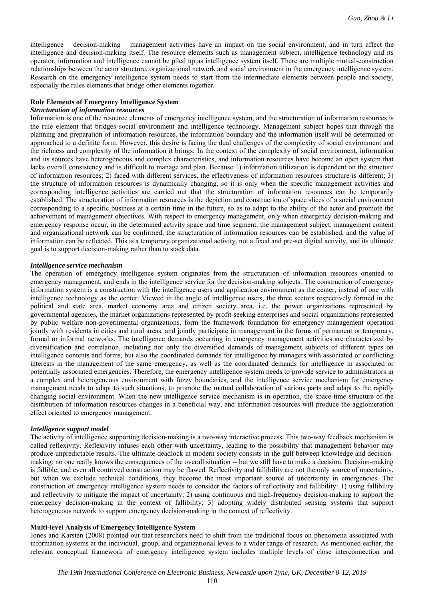intelligence – decision-making – management activities have an impact on the social environment, and in turn affect the intelligence and decision-making itself. The resource elements such as management subject, intelligence technology and its operator, information and intelligence cannot be piled up as intelligence system itself. There are multiple mutual-construction relationships between the actor structure, organizational network and social environment in the emergency intelligence system. Research on the emergency intelligence system needs to start from the intermediate elements between people and society, especially the rules elements that bridge other elements together.

# **Rule Elements of Emergency Intelligence System**

# *Structuration of information resources*

Information is one of the resource elements of emergency intelligence system, and the structuration of information resources is the rule element that bridges social environment and intelligence technology. Management subject hopes that through the planning and preparation of information resources, the information boundary and the information itself will be determined or approached to a definite form. However, this desire is facing the dual challenges of the complexity of social environment and the richness and complexity of the information it brings: In the context of the complexity of social environment, information and its sources have heterogeneous and complex characteristics, and information resources have become an open system that lacks overall consistency and is difficult to manage and plan. Because 1) information utilization is dependent on the structure of information resources; 2) faced with different services, the effectiveness of information resources structure is different; 3) the structure of information resources is dynamically changing, so it is only when the specific management activities and corresponding intelligence activities are carried out that the structuration of information resources can be temporarily established. The structuration of information resources is the depiction and construction of space slices of a social environment corresponding to a specific business at a certain time in the future, so as to adapt to the ability of the actor and promote the achievement of management objectives. With respect to emergency management, only when emergency decision-making and emergency response occur, in the determined activity space and time segment, the management subject, management content and organizational network can be confirmed, the structuration of information resources can be established, and the value of information can be reflected. This is a temporary organizational activity, not a fixed and pre-set digital activity, and its ultimate goal is to support decision-making rather than to stack data.

## *Intelligence service mechanism*

The operation of emergency intelligence system originates from the structuration of information resources oriented to emergency management, and ends in the intelligence service for the decision-making subjects. The construction of emergency information system is a construction with the intelligence users and application environment as the center, instead of one with intelligence technology as the center. Viewed in the angle of intelligence users, the three sectors respectively formed in the political and state area, market economy area and citizen society area, i.e. the power organizations represented by governmental agencies, the market organizations represented by profit-seeking enterprises and social organizations represented by public welfare non-governmental organizations, form the framework foundation for emergency management operation jointly with residents in cities and rural areas, and jointly participate in management in the forms of permanent or temporary, formal or informal networks. The intelligence demands occurring in emergency management activities are characterized by diversification and correlation, including not only the diversified demands of management subjects of different types on intelligence contents and forms, but also the coordinated demands for intelligence by managers with associated or conflicting interests in the management of the same emergency, as well as the coordinated demands for intelligence in associated or potentially associated emergencies. Therefore, the emergency intelligence system needs to provide service to administrators in a complex and heterogeneous environment with fuzzy boundaries, and the intelligence service mechanism for emergency management needs to adapt to such situations, to promote the mutual collaboration of various parts and adapt to the rapidly changing social environment. When the new intelligence service mechanism is in operation, the space-time structure of the distribution of information resources changes in a beneficial way, and information resources will produce the agglomeration effect oriented to emergency management.

# *Intelligence support model*

The activity of intelligence supporting decision-making is a two-way interactive process. This two-way feedback mechanism is called reflexivity. Reflexivity infuses each other with uncertainty, leading to the possibility that management behavior may produce unpredictable results. The ultimate deadlock in modern society consists in the gulf between knowledge and decisionmaking: no one really knows the consequences of the overall situation -- but we still have to make a decision. Decision-making is fallible, and even all contrived construction may be flawed. Reflectivity and fallibility are not the only source of uncertainty, but when we exclude technical conditions, they become the most important source of uncertainty in emergencies. The construction of emergency intelligence system needs to consider the factors of reflectivity and fallibility: 1) using fallibility and reflectivity to mitigate the impact of uncertainty; 2) using continuous and high-frequency decision-making to support the emergency decision-making in the context of fallibility; 3) adopting widely distributed sensing systems that support heterogeneous network to support emergency decision-making in the context of reflectivity.

# **Multi-level Analysis of Emergency Intelligence System**

Jones and Karsten (2008) pointed out that researchers need to shift from the traditional focus on phenomena associated with information systems at the individual, group, and organizational levels to a wider range of research. As mentioned earlier, the relevant conceptual framework of emergency intelligence system includes multiple levels of close interconnection and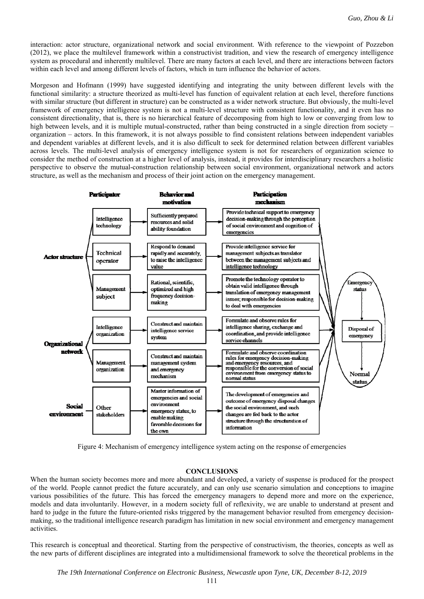interaction: actor structure, organizational network and social environment. With reference to the viewpoint of Pozzebon (2012), we place the multilevel framework within a constructivist tradition, and view the research of emergency intelligence system as procedural and inherently multilevel. There are many factors at each level, and there are interactions between factors within each level and among different levels of factors, which in turn influence the behavior of actors.

Morgeson and Hofmann (1999) have suggested identifying and integrating the unity between different levels with the functional similarity: a structure theorized as multi-level has function of equivalent relation at each level, therefore functions with similar structure (but different in structure) can be constructed as a wider network structure. But obviously, the multi-level framework of emergency intelligence system is not a multi-level structure with consistent functionality, and it even has no consistent directionality, that is, there is no hierarchical feature of decomposing from high to low or converging from low to high between levels, and it is multiple mutual-constructed, rather than being constructed in a single direction from society – organization – actors. In this framework, it is not always possible to find consistent relations between independent variables and dependent variables at different levels, and it is also difficult to seek for determined relation between different variables across levels. The multi-level analysis of emergency intelligence system is not for researchers of organization science to consider the method of construction at a higher level of analysis, instead, it provides for interdisciplinary researchers a holistic perspective to observe the mutual-construction relationship between social environment, organizational network and actors structure, as well as the mechanism and process of their joint action on the emergency management.



Figure 4: Mechanism of emergency intelligence system acting on the response of emergencies

### **CONCLUSIONS**

When the human society becomes more and more abundant and developed, a variety of suspense is produced for the prospect of the world. People cannot predict the future accurately, and can only use scenario simulation and conceptions to imagine various possibilities of the future. This has forced the emergency managers to depend more and more on the experience, models and data involuntarily. However, in a modern society full of reflexivity, we are unable to understand at present and hard to judge in the future the future-oriented risks triggered by the management behavior resulted from emergency decisionmaking, so the traditional intelligence research paradigm has limitation in new social environment and emergency management activities.

This research is conceptual and theoretical. Starting from the perspective of constructivism, the theories, concepts as well as the new parts of different disciplines are integrated into a multidimensional framework to solve the theoretical problems in the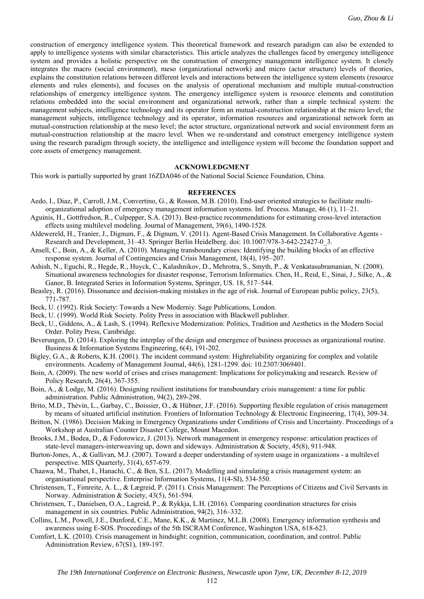construction of emergency intelligence system. This theoretical framework and research paradigm can also be extended to apply to intelligence systems with similar characteristics. This article analyzes the challenges faced by emergency intelligence system and provides a holistic perspective on the construction of emergency management intelligence system. It closely integrates the macro (social environment), meso (organizational network) and micro (actor structure) levels of theories, explains the constitution relations between different levels and interactions between the intelligence system elements (resource elements and rules elements), and focuses on the analysis of operational mechanism and multiple mutual-construction relationships of emergency intelligence system. The emergency intelligence system is resource elements and constitution relations embedded into the social environment and organizational network, rather than a simple technical system: the management subjects, intelligence technology and its operator form an mutual-construction relationship at the micro level; the management subjects, intelligence technology and its operator, information resources and organizational network form an mutual-construction relationship at the meso level; the actor structure, organizational network and social environment form an mutual-construction relationship at the macro level. When we re-understand and construct emergency intelligence system using the research paradigm through society, the intelligence and intelligence system will become the foundation support and core assets of emergency management.

#### **ACKNOWLEDGMENT**

This work is partially supported by grant 16ZDA046 of the National Social Science Foundation,China.

### **REFERENCES**

- Aedo, I., Diaz, P., Carroll, J.M., Convertino, G., & Rosson, M.B. (2010). End-user oriented strategies to facilitate multiorganizational adoption of emergency management information systems. Inf. Process. Manage, 46 (1), 11–21.
- Aguinis, H., Gottfredson, R., Culpepper, S.A. (2013). Best-practice recommendations for estimating cross-level interaction effects using multilevel modeling. Journal of Management, 39(6), 1490-1528.
- Aldewereld, H., Tranier, J., Dignum, F., & Dignum, V. (2011). Agent-Based Crisis Management. In Collaborative Agents Research and Development, 31–43. Springer Berlin Heidelberg. doi: 10.1007/978-3-642-22427-0\_3.
- Ansell, C., Boin, A., & Keller, A. (2010). Managing transboundary crises: Identifying the building blocks of an effective response system. Journal of Contingencies and Crisis Management, 18(4), 195–207.
- Ashish, N., Eguchi, R., Hegde, R., Huyck, C., Kalashnikov, D., Mehrotra, S., Smyth, P., & Venkatasubramanian, N. (2008). Situational awareness technologies for disaster response, Terrorism Informatics. Chen, H., Reid, E., Sinai, J., Silke, A., & Ganor, B. Integrated Series in Information Systems, Springer, US. 18, 517–544.
- Beasley, R. (2016). Dissonance and decision-making mistakes in the age of risk. Journal of European public policy, 23(5), 771-787.
- Beck, U. (1992). Risk Society: Towards a New Moderniy. Sage Publications, London.
- Beck, U. (1999). World Risk Society. Polity Press in association with Blackwell publisher.
- Beck, U., Giddens, A., & Lash, S. (1994). Reflexive Modernization: Politics, Tradition and Aesthetics in the Modern Social Order. Polity Press, Cambridge.
- Beverungen, D. (2014). Exploring the interplay of the design and emergence of business processes as organizational routine. Business & Information Systems Engineering, 6(4), 191-202.
- Bigley, G.A., & Roberts, K.H. (2001). The incident command system: Highreliability organizing for complex and volatile environments. Academy of Management Journal, 44(6), 1281-1299. doi: 10.2307/3069401.
- Boin, A. (2009). The new world of crises and crises management: Implications for policymaking and research. Review of Policy Research, 26(4), 367-355.
- Boin, A., & Lodge, M. (2016). Designing resilient institutions for transboundary crisis management: a time for public administration. Public Administration, 94(2), 289-298.
- Brito, M.D., Thévin, L., Garbay, C., Boissier, O., & Hübner, J.F. (2016). Supporting flexible regulation of crisis management by means of situated artificial institution. Frontiers of Information Technology & Electronic Engineering, 17(4), 309-34.
- Britton, N. (1986). Decision Making in Emergency Organizations under Conditions of Crisis and Uncertainty. Proceedings of a Workshop at Australian Counter Disaster College, Mount Macedon.
- Brooks, J.M., Bodea, D., & Fedorowicz, J. (2013). Network management in emergency response: articulation practices of state-level managers-interweaving up, down and sideways. Administration & Society, 45(8), 911-948.
- Burton-Jones, A., & Gallivan, M.J. (2007). Toward a deeper understanding of system usage in organizations a multilevel perspective. MIS Quarterly, 31(4), 657-679.
- Chaawa, M., Thabet, I., Hanachi, C., & Ben, S.L. (2017). Modelling and simulating a crisis management system: an organisational perspective. Enterprise Information Systems, 11(4-SI), 534-550.
- Christensen, T., Fimreite, A. L., & Lægreid, P. (2011). Crisis Management: The Perceptions of Citizens and Civil Servants in Norway. Administration & Society, 43(5), 561-594.
- Christensen, T., Danielsen, O.A., Lagreid, P., & Rykkja, L.H. (2016). Comparing coordination structures for crisis management in six countries. Public Administration, 94(2), 316–332.
- Collins, L.M., Powell, J.E., Dunford, C.E., Mane, K.K., & Martinez, M.L.B. (2008). Emergency information synthesis and awareness using E-SOS. Proceedings of the 5th ISCRAM Conference, Washington USA, 618-623.
- Comfort, L.K. (2010). Crisis management in hindsight: cognition, communication, coordination, and control. Public Administration Review, 67(S1), 189-197.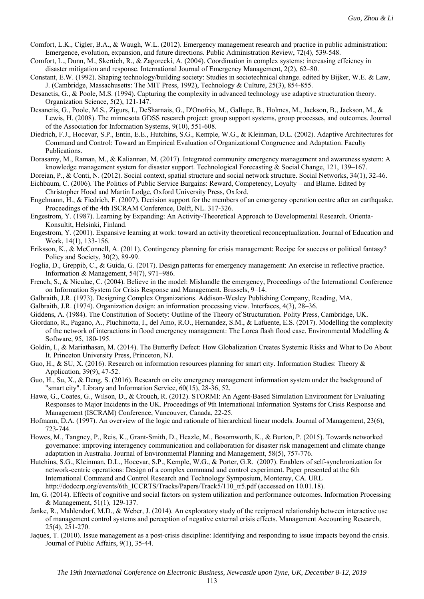- Comfort, L.K., Cigler, B.A., & Waugh, W.L. (2012). Emergency management research and practice in public administration: Emergence, evolution, expansion, and future directions. Public Administration Review, 72(4), 539-548.
- Comfort, L., Dunn, M., Skertich, R., & Zagorecki, A. (2004). Coordination in complex systems: increasing effciency in disaster mitigation and response. International Journal of Emergency Management, 2(2), 62–80.
- Constant, E.W. (1992). Shaping technology/building society: Studies in sociotechnical change. edited by Bijker, W.E. & Law, J. (Cambridge, Massachusetts: The MIT Press, 1992), Technology & Culture, 25(3), 854-855.
- Desanctis, G., & Poole, M.S. (1994). Capturing the complexity in advanced technology use adaptive structuration theory. Organization Science, 5(2), 121-147.
- Desanctis, G., Poole, M.S., Zigurs, I., DeSharnais, G., D'Onofrio, M., Gallupe, B., Holmes, M., Jackson, B., Jackson, M., & Lewis, H. (2008). The minnesota GDSS research project: group support systems, group processes, and outcomes. Journal of the Association for Information Systems, 9(10), 551-608.
- Diedrich, F.J., Hocevar, S.P., Entin, E.E., Hutchins, S.G., Kemple, W.G., & Kleinman, D.L. (2002). Adaptive Architectures for Command and Control: Toward an Empirical Evaluation of Organizational Congruence and Adaptation. Faculty Publications.
- Dorasamy, M., Raman, M., & Kaliannan, M. (2017). Integrated community emergency management and awareness system: A knowledge management system for disaster support. Technological Forecasting & Social Change, 121, 139–167.

Doreian, P., & Conti, N. (2012). Social context, spatial structure and social network structure. Social Networks, 34(1), 32-46.

- Eichbaum, C. (2006). The Politics of Public Service Bargains: Reward, Competency, Loyalty and Blame. Edited by Christopher Hood and Martin Lodge, Oxford University Press, Oxford.
- Engelmann, H., & Fiedrich, F. (2007). Decision support for the members of an emergency operation centre after an earthquake. Proceedings of the 4th ISCRAM Conference, Delft, NL. 317-326.
- Engestrom, Y. (1987). Learning by Expanding: An Activity-Theoretical Approach to Developmental Research. Orienta-Konsultit, Helsinki, Finland.
- Engestrom, Y. (2001). Expansive learning at work: toward an activity theoretical reconceptualization. Journal of Education and Work, 14(1), 133-156.
- Eriksson, K., & McConnell, A. (2011). Contingency planning for crisis management: Recipe for success or political fantasy? Policy and Society, 30(2), 89-99.
- Foglia, D., Greppib, C., & Guida, G. (2017). Design patterns for emergency management: An exercise in reflective practice. Information & Management, 54(7), 971–986.
- French, S., & Niculae, C. (2004). Believe in the model: Mishandle the emergency, Proceedings of the International Conference on Information System for Crisis Response and Management. Brussels, 9–14.
- Galbraith, J.R. (1973). Designing Complex Organizations. Addison-Wesley Publishing Company, Reading, MA.
- Galbraith, J.R. (1974). Organization design: an information processing view. Interfaces, 4(3), 28–36.
- Giddens, A. (1984). The Constitution of Society: Outline of the Theory of Structuration. Polity Press, Cambridge, UK.
- Giordano, R., Pagano, A., Pluchinotta, I., del Amo, R.O., Hernandez, S.M., & Lafuente, E.S. (2017). Modelling the complexity of the network of interactions in flood emergency management: The Lorca flash flood case. Environmental Modelling & Software, 95, 180-195.
- Goldin, I., & Mariathasan, M. (2014). The Butterfly Defect: How Globalization Creates Systemic Risks and What to Do About It. Princeton University Press, Princeton, NJ.
- Guo, H., & SU, X. (2016). Research on information resources planning for smart city. Information Studies: Theory & Application, 39(9), 47-52.
- Guo, H., Su, X., & Deng, S. (2016). Research on city emergency management information system under the background of "smart city". Library and Information Service, 60(15), 28-36, 52.
- Hawe, G., Coates, G., Wilson, D., & Crouch, R. (2012). STORMI: An Agent-Based Simulation Environment for Evaluating Responses to Major Incidents in the UK. Proceedings of 9th International Information Systems for Crisis Response and Management (ISCRAM) Conference, Vancouver, Canada, 22-25.
- Hofmann, D.A. (1997). An overview of the logic and rationale of hierarchical linear models. Journal of Management, 23(6), 723-744.
- Howes, M., Tangney, P., Reis, K., Grant-Smith, D., Heazle, M., Bosomworth, K., & Burton, P. (2015). Towards networked governance: improving interagency communication and collaboration for disaster risk management and climate change adaptation in Australia. Journal of Environmental Planning and Management, 58(5), 757-776.
- Hutchins, S.G., Kleinman, D.L., Hocevar, S.P., Kemple, W.G., & Porter, G.R. (2007). Enablers of self-synchronization for network-centric operations: Design of a complex command and control experiment. Paper presented at the 6th International Command and Control Research and Technology Symposium, Monterey, CA. URL http://dodccrp.org/events/6th\_ICCRTS/Tracks/Papers/Track5/110\_tr5.pdf (accessed on 10.01.18).
- Im, G. (2014). Effects of cognitive and social factors on system utilization and performance outcomes. Information Processing & Management, 51(1), 129-137.
- Janke, R., Mahlendorf, M.D., & Weber, J. (2014). An exploratory study of the reciprocal relationship between interactive use of management control systems and perception of negative external crisis effects. Management Accounting Research, 25(4), 251-270.
- Jaques, T. (2010). Issue management as a post-crisis discipline: Identifying and responding to issue impacts beyond the crisis. Journal of Public Affairs, 9(1), 35-44.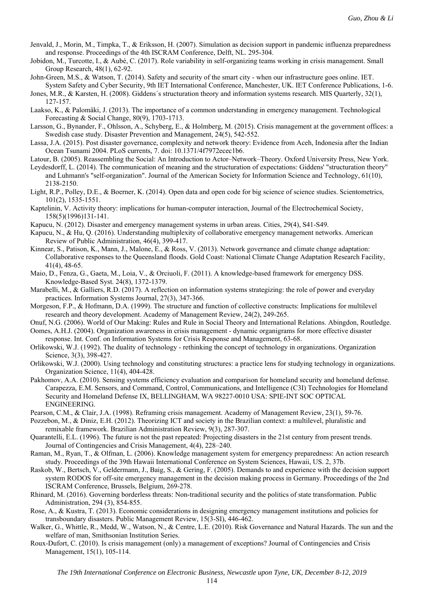- Jenvald, J., Morin, M., Timpka, T., & Eriksson, H. (2007). Simulation as decision support in pandemic influenza preparedness and response. Proceedings of the 4th ISCRAM Conference, Delft, NL. 295-304.
- Jobidon, M., Turcotte, I., & Aubé, C. (2017). Role variability in self-organizing teams working in crisis management. Small Group Research, 48(1), 62-92.
- John-Green, M.S., & Watson, T. (2014). Safety and security of the smart city when our infrastructure goes online. IET. System Safety and Cyber Security, 9th IET International Conference, Manchester, UK. IET Conference Publications, 1-6.

Jones, M.R., & Karsten, H. (2008). Giddens´s structuration theory and information systems research. MIS Quarterly, 32(1), 127-157.

Laakso, K., & Palomäki, J. (2013). The importance of a common understanding in emergency management. Technological Forecasting & Social Change, 80(9), 1703-1713.

Larsson, G., Bynander, F., Ohlsson, A., Schyberg, E., & Holmberg, M. (2015). Crisis management at the government offices: a Swedish case study. Disaster Prevention and Management, 24(5), 542-552.

Lassa, J.A. (2015). Post disaster governance, complexity and network theory: Evidence from Aceh, Indonesia after the Indian Ocean Tsunami 2004. PLoS currents, 7. doi: 10.1371/4f7972ecec1b6.

Latour, B. (2005). Reassembling the Social: An Introduction to Actor–Network–Theory. Oxford University Press, New York.

- Leydesdorff, L. (2014). The communication of meaning and the structuration of expectations: Giddens' "structuration theory" and Luhmann's "self-organization". Journal of the American Society for Information Science and Technology, 61(10), 2138-2150.
- Light, R.P., Polley, D.E., & Boerner, K. (2014). Open data and open code for big science of science studies. Scientometrics, 101(2), 1535-1551.

Kaptelinin, V. Activity theory: implications for human-computer interaction, Journal of the Electrochemical Society, 158(5)(1996)131-141.

- Kapucu, N. (2012). Disaster and emergency management systems in urban areas. Cities, 29(4), S41-S49.
- Kapucu, N., & Hu, Q. (2016). Understanding multiplexity of collaborative emergency management networks. American Review of Public Administration, 46(4), 399-417.
- Kinnear, S., Patison, K., Mann, J., Malone, E., & Ross, V. (2013). Network governance and climate change adaptation: Collaborative responses to the Queensland floods. Gold Coast: National Climate Change Adaptation Research Facility, 41(4), 48-65.
- Maio, D., Fenza, G., Gaeta, M., Loia, V., & Orciuoli, F. (2011). A knowledge-based framework for emergency DSS. Knowledge-Based Syst. 24(8), 1372-1379.
- Marabelli, M., & Galliers, R.D. (2017). A reflection on information systems strategizing: the role of power and everyday practices. Information Systems Journal, 27(3), 347-366.
- Morgeson, F.P., & Hofmann, D.A. (1999). The structure and function of collective constructs: Implications for multilevel research and theory development. Academy of Management Review, 24(2), 249-265.
- Onuf, N.G. (2006). World of Our Making: Rules and Rule in Social Theory and International Relations. Abingdon, Routledge.
- Oomes, A.H.J. (2004). Organization awareness in crisis management dynamic organigrams for more effective disaster response. Int. Conf. on Information Systems for Crisis Response and Management, 63-68.

Orlikowski, W.J. (1992). The duality of technology - rethinking the concept of technology in organizations. Organization Science, 3(3), 398-427.

- Orlikowski, W.J. (2000). Using technology and constituting structures: a practice lens for studying technology in organizations. Organization Science, 11(4), 404-428.
- Pakhomov, A.A. (2010). Sensing systems efficiency evaluation and comparison for homeland security and homeland defense. Carapezza, E.M. Sensors, and Command, Control, Communications, and Intelligence (C3I) Technologies for Homeland Security and Homeland Defense IX, BELLINGHAM, WA 98227-0010 USA: SPIE-INT SOC OPTICAL ENGINEERING.

Pearson, C.M., & Clair, J.A. (1998). Reframing crisis management. Academy of Management Review, 23(1), 59-76.

Pozzebon, M., & Diniz, E.H. (2012). Theorizing ICT and society in the Brazilian context: a multilevel, pluralistic and remixable framework. Brazilian Administration Review, 9(3), 287-307.

- Quarantelli, E.L. (1996). The future is not the past repeated: Projecting disasters in the 21st century from present trends. Journal of Contingencies and Crisis Management, 4(4), 228–240.
- Raman, M., Ryan, T., & Olfman, L. (2006). Knowledge management system for emergency preparedness: An action research study. Proceedings of the 39th Hawaii International Conference on System Sciences, Hawaii, US. 2, 37b.
- Raskob, W., Bertsch, V., Geldermann, J., Baig, S., & Gering, F. (2005). Demands to and experience with the decision support system RODOS for off-site emergency management in the decision making process in Germany. Proceedings of the 2nd ISCRAM Conference, Brussels, Belgium, 269-278.
- Rhinard, M. (2016). Governing borderless threats: Non-traditional security and the politics of state transformation. Public Administration, 294 (3), 854-855.
- Rose, A., & Kustra, T. (2013). Economic considerations in designing emergency management institutions and policies for transboundary disasters. Public Management Review, 15(3-SI), 446-462.
- Walker, G., Whittle, R., Medd, W., Watson, N., & Centre, L.E. (2010). Risk Governance and Natural Hazards. The sun and the welfare of man, Smithsonian Institution Series.
- Roux-Dufort, C. (2010). Is crisis management (only) a management of exceptions? Journal of Contingencies and Crisis Management, 15(1), 105-114.

114